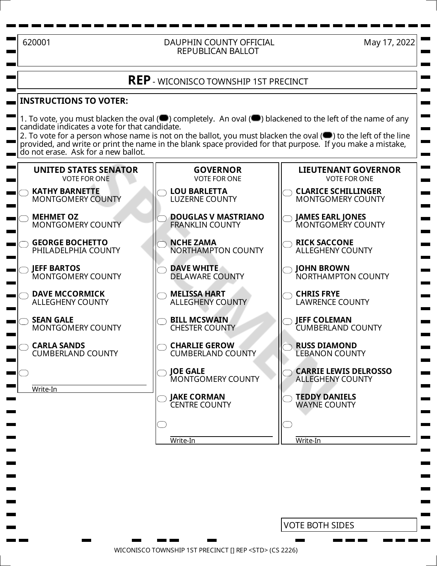## 620001 DAUPHIN COUNTY OFFICIAL REPUBLICAN BALLOT

May 17, 2022

## **REP**- WICONISCO TOWNSHIP 1ST PRECINCT

## **INSTRUCTIONS TO VOTER:**

1. To vote, you must blacken the oval ( $\bullet$ ) completely. An oval ( $\bullet$ ) blackened to the left of the name of any candidate indicates a vote for that candidate.

2. To vote for a person whose name is not on the ballot, you must blacken the oval  $($ **)** to the left of the line provided, and write or print the name in the blank space provided for that purpose. If you make a mistake, do not erase. Ask for a new ballot.